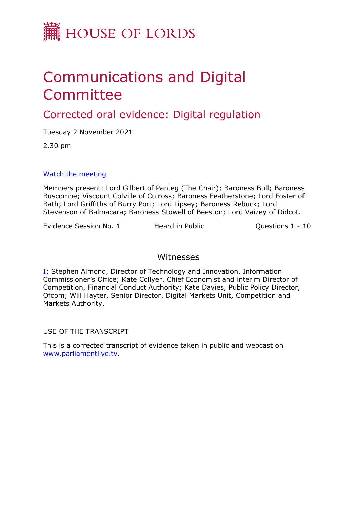

# Communications and Digital Committee

# Corrected oral evidence: Digital regulation

Tuesday 2 November 2021

2.30 pm

[Watch](https://parliamentlive.tv/event/index/2057fe82-c43c-439d-8d12-7826fee159fc) [the](https://parliamentlive.tv/event/index/2057fe82-c43c-439d-8d12-7826fee159fc) [meeting](https://parliamentlive.tv/event/index/2057fe82-c43c-439d-8d12-7826fee159fc)

Members present: Lord Gilbert of Panteg (The Chair); Baroness Bull; Baroness Buscombe; Viscount Colville of Culross; Baroness Featherstone; Lord Foster of Bath; Lord Griffiths of Burry Port; Lord Lipsey; Baroness Rebuck; Lord Stevenson of Balmacara; Baroness Stowell of Beeston; Lord Vaizey of Didcot.

Evidence Session No. 1 Heard in Public Questions 1 - 10

# Witnesses

[I:](#page-1-0) Stephen Almond, Director of Technology and Innovation, Information Commissioner's Office; Kate Collyer, Chief Economist and interim Director of Competition, Financial Conduct Authority; Kate Davies, Public Policy Director, Ofcom; Will Hayter, Senior Director, Digital Markets Unit, Competition and Markets Authority.

USE OF THE TRANSCRIPT

This is a corrected transcript of evidence taken in public and webcast on [www.parliamentlive.tv](http://www.parliamentlive.tv/).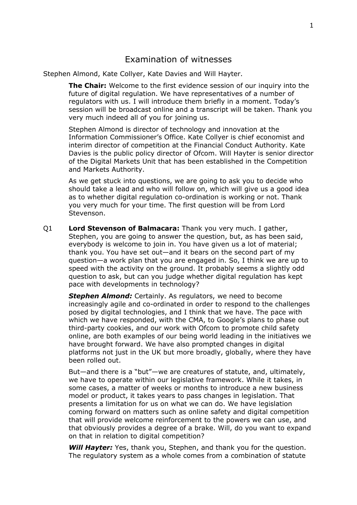# <span id="page-1-0"></span>Examination of witnesses

Stephen Almond, Kate Collyer, Kate Davies and Will Hayter.

**The Chair:** Welcome to the first evidence session of our inquiry into the future of digital regulation. We have representatives of a number of regulators with us. I will introduce them briefly in a moment. Today's session will be broadcast online and a transcript will be taken. Thank you very much indeed all of you for joining us.

Stephen Almond is director of technology and innovation at the Information Commissioner's Office. Kate Collyer is chief economist and interim director of competition at the Financial Conduct Authority. Kate Davies is the public policy director of Ofcom. Will Hayter is senior director of the Digital Markets Unit that has been established in the Competition and Markets Authority.

As we get stuck into questions, we are going to ask you to decide who should take a lead and who will follow on, which will give us a good idea as to whether digital regulation co-ordination is working or not. Thank you very much for your time. The first question will be from Lord Stevenson.

Q1 **Lord Stevenson of Balmacara:** Thank you very much. I gather, Stephen, you are going to answer the question, but, as has been said, everybody is welcome to join in. You have given us a lot of material; thank you. You have set out—and it bears on the second part of my question—a work plan that you are engaged in. So, I think we are up to speed with the activity on the ground. It probably seems a slightly odd question to ask, but can you judge whether digital regulation has kept pace with developments in technology?

*Stephen Almond:* Certainly. As regulators, we need to become increasingly agile and co-ordinated in order to respond to the challenges posed by digital technologies, and I think that we have. The pace with which we have responded, with the CMA, to Google's plans to phase out third-party cookies, and our work with Ofcom to promote child safety online, are both examples of our being world leading in the initiatives we have brought forward. We have also prompted changes in digital platforms not just in the UK but more broadly, globally, where they have been rolled out.

But—and there is a "but"—we are creatures of statute, and, ultimately, we have to operate within our legislative framework. While it takes, in some cases, a matter of weeks or months to introduce a new business model or product, it takes years to pass changes in legislation. That presents a limitation for us on what we can do. We have legislation coming forward on matters such as online safety and digital competition that will provide welcome reinforcement to the powers we can use, and that obviously provides a degree of a brake. Will, do you want to expand on that in relation to digital competition?

*Will Hayter:* Yes, thank you, Stephen, and thank you for the question. The regulatory system as a whole comes from a combination of statute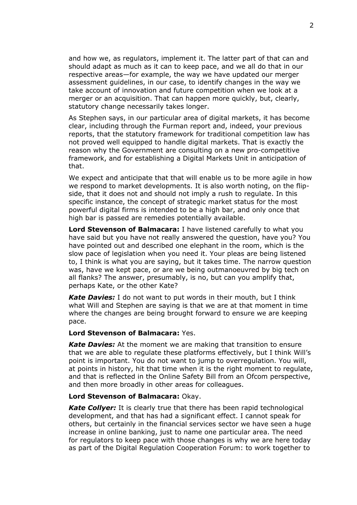and how we, as regulators, implement it. The latter part of that can and should adapt as much as it can to keep pace, and we all do that in our respective areas—for example, the way we have updated our merger assessment guidelines, in our case, to identify changes in the way we take account of innovation and future competition when we look at a merger or an acquisition. That can happen more quickly, but, clearly, statutory change necessarily takes longer.

As Stephen says, in our particular area of digital markets, it has become clear, including through the Furman report and, indeed, your previous reports, that the statutory framework for traditional competition law has not proved well equipped to handle digital markets. That is exactly the reason why the Government are consulting on a new pro-competitive framework, and for establishing a Digital Markets Unit in anticipation of that.

We expect and anticipate that that will enable us to be more agile in how we respond to market developments. It is also worth noting, on the flipside, that it does not and should not imply a rush to regulate. In this specific instance, the concept of strategic market status for the most powerful digital firms is intended to be a high bar, and only once that high bar is passed are remedies potentially available.

**Lord Stevenson of Balmacara:** I have listened carefully to what you have said but you have not really answered the question, have you? You have pointed out and described one elephant in the room, which is the slow pace of legislation when you need it. Your pleas are being listened to, I think is what you are saying, but it takes time. The narrow question was, have we kept pace, or are we being outmanoeuvred by big tech on all flanks? The answer, presumably, is no, but can you amplify that, perhaps Kate, or the other Kate?

*Kate Davies:* I do not want to put words in their mouth, but I think what Will and Stephen are saying is that we are at that moment in time where the changes are being brought forward to ensure we are keeping pace.

### **Lord Stevenson of Balmacara:** Yes.

*Kate Davies:* At the moment we are making that transition to ensure that we are able to regulate these platforms effectively, but I think Will's point is important. You do not want to jump to overregulation. You will, at points in history, hit that time when it is the right moment to regulate, and that is reflected in the Online Safety Bill from an Ofcom perspective, and then more broadly in other areas for colleagues.

#### **Lord Stevenson of Balmacara:** Okay.

*Kate Collyer:* It is clearly true that there has been rapid technological development, and that has had a significant effect. I cannot speak for others, but certainly in the financial services sector we have seen a huge increase in online banking, just to name one particular area. The need for regulators to keep pace with those changes is why we are here today as part of the Digital Regulation Cooperation Forum: to work together to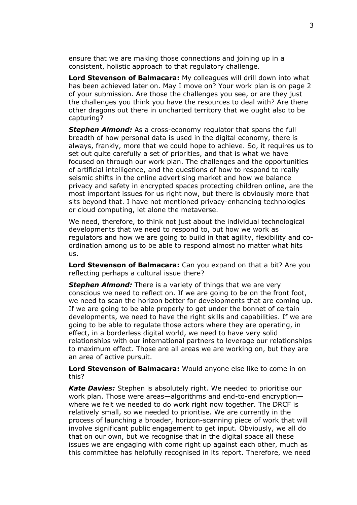ensure that we are making those connections and joining up in a consistent, holistic approach to that regulatory challenge.

**Lord Stevenson of Balmacara:** My colleagues will drill down into what has been achieved later on. May I move on? Your work plan is on page 2 of your submission. Are those the challenges you see, or are they just the challenges you think you have the resources to deal with? Are there other dragons out there in uncharted territory that we ought also to be capturing?

*Stephen Almond:* As a cross-economy regulator that spans the full breadth of how personal data is used in the digital economy, there is always, frankly, more that we could hope to achieve. So, it requires us to set out quite carefully a set of priorities, and that is what we have focused on through our work plan. The challenges and the opportunities of artificial intelligence, and the questions of how to respond to really seismic shifts in the online advertising market and how we balance privacy and safety in encrypted spaces protecting children online, are the most important issues for us right now, but there is obviously more that sits beyond that. I have not mentioned privacy-enhancing technologies or cloud computing, let alone the metaverse.

We need, therefore, to think not just about the individual technological developments that we need to respond to, but how we work as regulators and how we are going to build in that agility, flexibility and coordination among us to be able to respond almost no matter what hits us.

**Lord Stevenson of Balmacara:** Can you expand on that a bit? Are you reflecting perhaps a cultural issue there?

*Stephen Almond:* There is a variety of things that we are very conscious we need to reflect on. If we are going to be on the front foot, we need to scan the horizon better for developments that are coming up. If we are going to be able properly to get under the bonnet of certain developments, we need to have the right skills and capabilities. If we are going to be able to regulate those actors where they are operating, in effect, in a borderless digital world, we need to have very solid relationships with our international partners to leverage our relationships to maximum effect. Those are all areas we are working on, but they are an area of active pursuit.

**Lord Stevenson of Balmacara:** Would anyone else like to come in on this?

*Kate Davies:* Stephen is absolutely right. We needed to prioritise our work plan. Those were areas—algorithms and end-to-end encryption where we felt we needed to do work right now together. The DRCF is relatively small, so we needed to prioritise. We are currently in the process of launching a broader, horizon-scanning piece of work that will involve significant public engagement to get input. Obviously, we all do that on our own, but we recognise that in the digital space all these issues we are engaging with come right up against each other, much as this committee has helpfully recognised in its report. Therefore, we need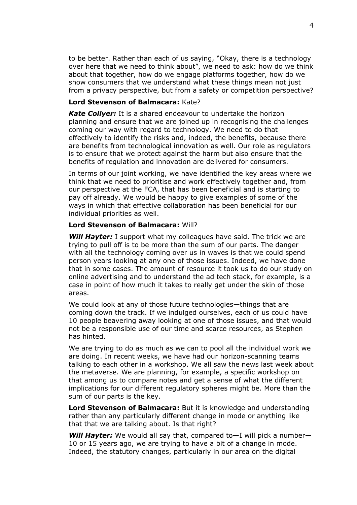to be better. Rather than each of us saying, "Okay, there is a technology over here that we need to think about", we need to ask: how do we think about that together, how do we engage platforms together, how do we show consumers that we understand what these things mean not just from a privacy perspective, but from a safety or competition perspective?

## **Lord Stevenson of Balmacara:** Kate?

*Kate Collyer:* It is a shared endeavour to undertake the horizon planning and ensure that we are joined up in recognising the challenges coming our way with regard to technology. We need to do that effectively to identify the risks and, indeed, the benefits, because there are benefits from technological innovation as well. Our role as regulators is to ensure that we protect against the harm but also ensure that the benefits of regulation and innovation are delivered for consumers.

In terms of our joint working, we have identified the key areas where we think that we need to prioritise and work effectively together and, from our perspective at the FCA, that has been beneficial and is starting to pay off already. We would be happy to give examples of some of the ways in which that effective collaboration has been beneficial for our individual priorities as well.

# **Lord Stevenson of Balmacara:** Will?

*Will Hayter:* I support what my colleagues have said. The trick we are trying to pull off is to be more than the sum of our parts. The danger with all the technology coming over us in waves is that we could spend person years looking at any one of those issues. Indeed, we have done that in some cases. The amount of resource it took us to do our study on online advertising and to understand the ad tech stack, for example, is a case in point of how much it takes to really get under the skin of those areas.

We could look at any of those future technologies—things that are coming down the track. If we indulged ourselves, each of us could have 10 people beavering away looking at one of those issues, and that would not be a responsible use of our time and scarce resources, as Stephen has hinted.

We are trying to do as much as we can to pool all the individual work we are doing. In recent weeks, we have had our horizon-scanning teams talking to each other in a workshop. We all saw the news last week about the metaverse. We are planning, for example, a specific workshop on that among us to compare notes and get a sense of what the different implications for our different regulatory spheres might be. More than the sum of our parts is the key.

**Lord Stevenson of Balmacara:** But it is knowledge and understanding rather than any particularly different change in mode or anything like that that we are talking about. Is that right?

*Will Hayter:* We would all say that, compared to—I will pick a number— 10 or 15 years ago, we are trying to have a bit of a change in mode. Indeed, the statutory changes, particularly in our area on the digital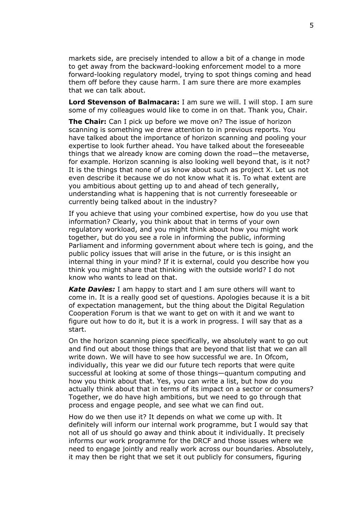markets side, are precisely intended to allow a bit of a change in mode to get away from the backward-looking enforcement model to a more forward-looking regulatory model, trying to spot things coming and head them off before they cause harm. I am sure there are more examples that we can talk about.

**Lord Stevenson of Balmacara:** I am sure we will. I will stop. I am sure some of my colleagues would like to come in on that. Thank you, Chair.

**The Chair:** Can I pick up before we move on? The issue of horizon scanning is something we drew attention to in previous reports. You have talked about the importance of horizon scanning and pooling your expertise to look further ahead. You have talked about the foreseeable things that we already know are coming down the road—the metaverse, for example. Horizon scanning is also looking well beyond that, is it not? It is the things that none of us know about such as project X. Let us not even describe it because we do not know what it is. To what extent are you ambitious about getting up to and ahead of tech generally, understanding what is happening that is not currently foreseeable or currently being talked about in the industry?

If you achieve that using your combined expertise, how do you use that information? Clearly, you think about that in terms of your own regulatory workload, and you might think about how you might work together, but do you see a role in informing the public, informing Parliament and informing government about where tech is going, and the public policy issues that will arise in the future, or is this insight an internal thing in your mind? If it is external, could you describe how you think you might share that thinking with the outside world? I do not know who wants to lead on that.

*Kate Davies:* I am happy to start and I am sure others will want to come in. It is a really good set of questions. Apologies because it is a bit of expectation management, but the thing about the Digital Regulation Cooperation Forum is that we want to get on with it and we want to figure out how to do it, but it is a work in progress. I will say that as a start.

On the horizon scanning piece specifically, we absolutely want to go out and find out about those things that are beyond that list that we can all write down. We will have to see how successful we are. In Ofcom, individually, this year we did our future tech reports that were quite successful at looking at some of those things—quantum computing and how you think about that. Yes, you can write a list, but how do you actually think about that in terms of its impact on a sector or consumers? Together, we do have high ambitions, but we need to go through that process and engage people, and see what we can find out.

How do we then use it? It depends on what we come up with. It definitely will inform our internal work programme, but I would say that not all of us should go away and think about it individually. It precisely informs our work programme for the DRCF and those issues where we need to engage jointly and really work across our boundaries. Absolutely, it may then be right that we set it out publicly for consumers, figuring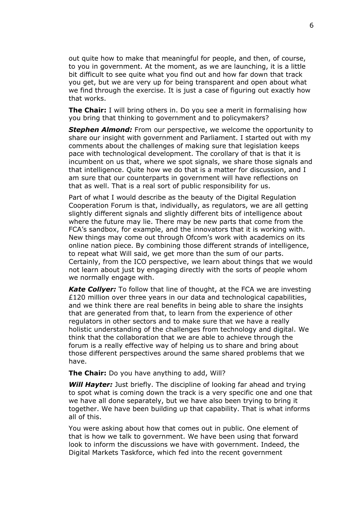out quite how to make that meaningful for people, and then, of course, to you in government. At the moment, as we are launching, it is a little bit difficult to see quite what you find out and how far down that track you get, but we are very up for being transparent and open about what we find through the exercise. It is just a case of figuring out exactly how that works.

**The Chair:** I will bring others in. Do you see a merit in formalising how you bring that thinking to government and to policymakers?

*Stephen Almond:* From our perspective, we welcome the opportunity to share our insight with government and Parliament. I started out with my comments about the challenges of making sure that legislation keeps pace with technological development. The corollary of that is that it is incumbent on us that, where we spot signals, we share those signals and that intelligence. Quite how we do that is a matter for discussion, and I am sure that our counterparts in government will have reflections on that as well. That is a real sort of public responsibility for us.

Part of what I would describe as the beauty of the Digital Regulation Cooperation Forum is that, individually, as regulators, we are all getting slightly different signals and slightly different bits of intelligence about where the future may lie. There may be new parts that come from the FCA's sandbox, for example, and the innovators that it is working with. New things may come out through Ofcom's work with academics on its online nation piece. By combining those different strands of intelligence, to repeat what Will said, we get more than the sum of our parts. Certainly, from the ICO perspective, we learn about things that we would not learn about just by engaging directly with the sorts of people whom we normally engage with.

*Kate Collyer:* To follow that line of thought, at the FCA we are investing £120 million over three years in our data and technological capabilities, and we think there are real benefits in being able to share the insights that are generated from that, to learn from the experience of other regulators in other sectors and to make sure that we have a really holistic understanding of the challenges from technology and digital. We think that the collaboration that we are able to achieve through the forum is a really effective way of helping us to share and bring about those different perspectives around the same shared problems that we have.

**The Chair:** Do you have anything to add, Will?

*Will Hayter:* Just briefly. The discipline of looking far ahead and trying to spot what is coming down the track is a very specific one and one that we have all done separately, but we have also been trying to bring it together. We have been building up that capability. That is what informs all of this.

You were asking about how that comes out in public. One element of that is how we talk to government. We have been using that forward look to inform the discussions we have with government. Indeed, the Digital Markets Taskforce, which fed into the recent government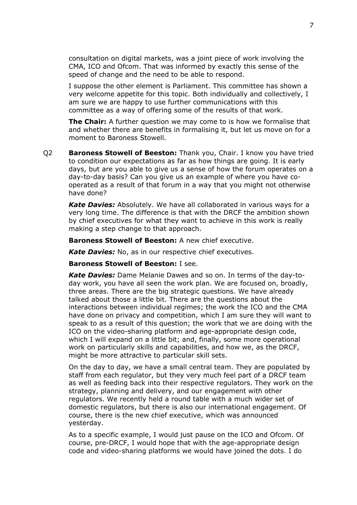consultation on digital markets, was a joint piece of work involving the CMA, ICO and Ofcom. That was informed by exactly this sense of the speed of change and the need to be able to respond.

I suppose the other element is Parliament. This committee has shown a very welcome appetite for this topic. Both individually and collectively, I am sure we are happy to use further communications with this committee as a way of offering some of the results of that work.

**The Chair:** A further question we may come to is how we formalise that and whether there are benefits in formalising it, but let us move on for a moment to Baroness Stowell.

Q2 **Baroness Stowell of Beeston:** Thank you, Chair. I know you have tried to condition our expectations as far as how things are going. It is early days, but are you able to give us a sense of how the forum operates on a day-to-day basis? Can you give us an example of where you have cooperated as a result of that forum in a way that you might not otherwise have done?

*Kate Davies:* Absolutely. We have all collaborated in various ways for a very long time. The difference is that with the DRCF the ambition shown by chief executives for what they want to achieve in this work is really making a step change to that approach.

**Baroness Stowell of Beeston:** A new chief executive.

*Kate Davies:* No, as in our respective chief executives.

**Baroness Stowell of Beeston:** I see.

*Kate Davies:* Dame Melanie Dawes and so on. In terms of the day-today work, you have all seen the work plan. We are focused on, broadly, three areas. There are the big strategic questions. We have already talked about those a little bit. There are the questions about the interactions between individual regimes; the work the ICO and the CMA have done on privacy and competition, which I am sure they will want to speak to as a result of this question; the work that we are doing with the ICO on the video-sharing platform and age-appropriate design code, which I will expand on a little bit; and, finally, some more operational work on particularly skills and capabilities, and how we, as the DRCF, might be more attractive to particular skill sets.

On the day to day, we have a small central team. They are populated by staff from each regulator, but they very much feel part of a DRCF team as well as feeding back into their respective regulators. They work on the strategy, planning and delivery, and our engagement with other regulators. We recently held a round table with a much wider set of domestic regulators, but there is also our international engagement. Of course, there is the new chief executive, which was announced yesterday.

As to a specific example, I would just pause on the ICO and Ofcom. Of course, pre-DRCF, I would hope that with the age-appropriate design code and video-sharing platforms we would have joined the dots. I do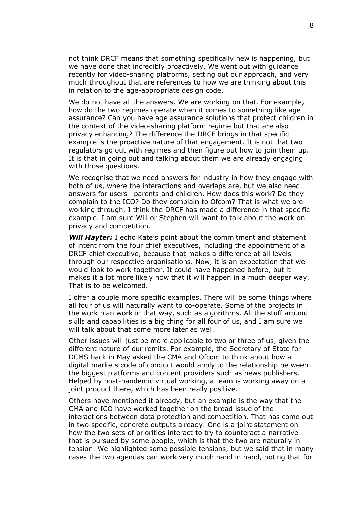not think DRCF means that something specifically new is happening, but we have done that incredibly proactively. We went out with guidance recently for video-sharing platforms, setting out our approach, and very much throughout that are references to how we are thinking about this in relation to the age-appropriate design code.

We do not have all the answers. We are working on that. For example, how do the two regimes operate when it comes to something like age assurance? Can you have age assurance solutions that protect children in the context of the video-sharing platform regime but that are also privacy enhancing? The difference the DRCF brings in that specific example is the proactive nature of that engagement. It is not that two regulators go out with regimes and then figure out how to join them up. It is that in going out and talking about them we are already engaging with those questions.

We recognise that we need answers for industry in how they engage with both of us, where the interactions and overlaps are, but we also need answers for users—parents and children. How does this work? Do they complain to the ICO? Do they complain to Ofcom? That is what we are working through. I think the DRCF has made a difference in that specific example. I am sure Will or Stephen will want to talk about the work on privacy and competition.

*Will Hayter:* I echo Kate's point about the commitment and statement of intent from the four chief executives, including the appointment of a DRCF chief executive, because that makes a difference at all levels through our respective organisations. Now, it is an expectation that we would look to work together. It could have happened before, but it makes it a lot more likely now that it will happen in a much deeper way. That is to be welcomed.

I offer a couple more specific examples. There will be some things where all four of us will naturally want to co-operate. Some of the projects in the work plan work in that way, such as algorithms. All the stuff around skills and capabilities is a big thing for all four of us, and I am sure we will talk about that some more later as well.

Other issues will just be more applicable to two or three of us, given the different nature of our remits. For example, the Secretary of State for DCMS back in May asked the CMA and Ofcom to think about how a digital markets code of conduct would apply to the relationship between the biggest platforms and content providers such as news publishers. Helped by post-pandemic virtual working, a team is working away on a joint product there, which has been really positive.

Others have mentioned it already, but an example is the way that the CMA and ICO have worked together on the broad issue of the interactions between data protection and competition. That has come out in two specific, concrete outputs already. One is a joint statement on how the two sets of priorities interact to try to counteract a narrative that is pursued by some people, which is that the two are naturally in tension. We highlighted some possible tensions, but we said that in many cases the two agendas can work very much hand in hand, noting that for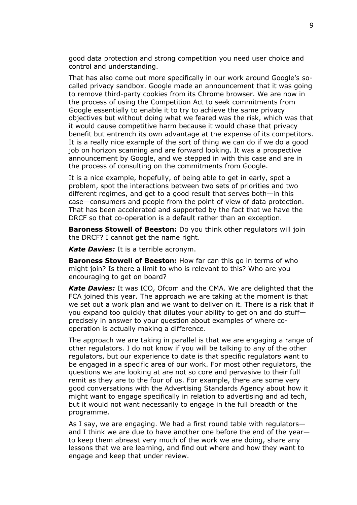good data protection and strong competition you need user choice and control and understanding.

That has also come out more specifically in our work around Google's socalled privacy sandbox. Google made an announcement that it was going to remove third-party cookies from its Chrome browser. We are now in the process of using the Competition Act to seek commitments from Google essentially to enable it to try to achieve the same privacy objectives but without doing what we feared was the risk, which was that it would cause competitive harm because it would chase that privacy benefit but entrench its own advantage at the expense of its competitors. It is a really nice example of the sort of thing we can do if we do a good job on horizon scanning and are forward looking. It was a prospective announcement by Google, and we stepped in with this case and are in the process of consulting on the commitments from Google.

It is a nice example, hopefully, of being able to get in early, spot a problem, spot the interactions between two sets of priorities and two different regimes, and get to a good result that serves both—in this case—consumers and people from the point of view of data protection. That has been accelerated and supported by the fact that we have the DRCF so that co-operation is a default rather than an exception.

**Baroness Stowell of Beeston:** Do you think other regulators will join the DRCF? I cannot get the name right.

*Kate Davies:* It is a terrible acronym.

**Baroness Stowell of Beeston:** How far can this go in terms of who might join? Is there a limit to who is relevant to this? Who are you encouraging to get on board?

*Kate Davies:* It was ICO, Ofcom and the CMA. We are delighted that the FCA joined this year. The approach we are taking at the moment is that we set out a work plan and we want to deliver on it. There is a risk that if you expand too quickly that dilutes your ability to get on and do stuff precisely in answer to your question about examples of where cooperation is actually making a difference.

The approach we are taking in parallel is that we are engaging a range of other regulators. I do not know if you will be talking to any of the other regulators, but our experience to date is that specific regulators want to be engaged in a specific area of our work. For most other regulators, the questions we are looking at are not so core and pervasive to their full remit as they are to the four of us. For example, there are some very good conversations with the Advertising Standards Agency about how it might want to engage specifically in relation to advertising and ad tech, but it would not want necessarily to engage in the full breadth of the programme.

As I say, we are engaging. We had a first round table with regulators and I think we are due to have another one before the end of the year to keep them abreast very much of the work we are doing, share any lessons that we are learning, and find out where and how they want to engage and keep that under review.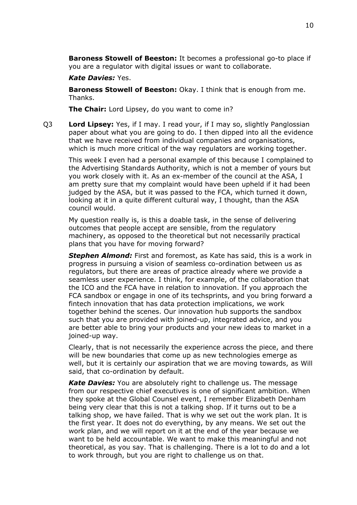**Baroness Stowell of Beeston:** It becomes a professional go-to place if you are a regulator with digital issues or want to collaborate.

#### *Kate Davies:* Yes.

**Baroness Stowell of Beeston:** Okay. I think that is enough from me. Thanks.

**The Chair:** Lord Lipsey, do you want to come in?

Q3 **Lord Lipsey:** Yes, if I may. I read your, if I may so, slightly Panglossian paper about what you are going to do. I then dipped into all the evidence that we have received from individual companies and organisations, which is much more critical of the way regulators are working together.

This week I even had a personal example of this because I complained to the Advertising Standards Authority, which is not a member of yours but you work closely with it. As an ex-member of the council at the ASA, I am pretty sure that my complaint would have been upheld if it had been judged by the ASA, but it was passed to the FCA, which turned it down, looking at it in a quite different cultural way, I thought, than the ASA council would.

My question really is, is this a doable task, in the sense of delivering outcomes that people accept are sensible, from the regulatory machinery, as opposed to the theoretical but not necessarily practical plans that you have for moving forward?

*Stephen Almond:* First and foremost, as Kate has said, this is a work in progress in pursuing a vision of seamless co-ordination between us as regulators, but there are areas of practice already where we provide a seamless user experience. I think, for example, of the collaboration that the ICO and the FCA have in relation to innovation. If you approach the FCA sandbox or engage in one of its techsprints, and you bring forward a fintech innovation that has data protection implications, we work together behind the scenes. Our innovation hub supports the sandbox such that you are provided with joined-up, integrated advice, and you are better able to bring your products and your new ideas to market in a joined-up way.

Clearly, that is not necessarily the experience across the piece, and there will be new boundaries that come up as new technologies emerge as well, but it is certainly our aspiration that we are moving towards, as Will said, that co-ordination by default.

*Kate Davies:* You are absolutely right to challenge us. The message from our respective chief executives is one of significant ambition. When they spoke at the Global Counsel event, I remember Elizabeth Denham being very clear that this is not a talking shop. If it turns out to be a talking shop, we have failed. That is why we set out the work plan. It is the first year. It does not do everything, by any means. We set out the work plan, and we will report on it at the end of the year because we want to be held accountable. We want to make this meaningful and not theoretical, as you say. That is challenging. There is a lot to do and a lot to work through, but you are right to challenge us on that.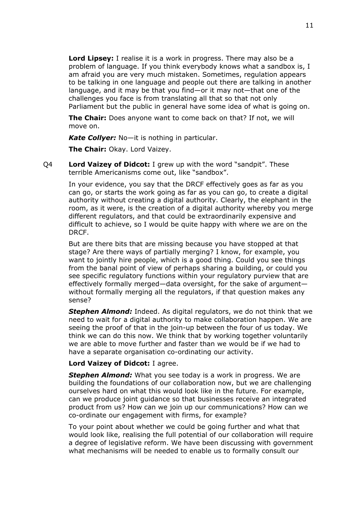**Lord Lipsey:** I realise it is a work in progress. There may also be a problem of language. If you think everybody knows what a sandbox is, I am afraid you are very much mistaken. Sometimes, regulation appears to be talking in one language and people out there are talking in another language, and it may be that you find—or it may not—that one of the challenges you face is from translating all that so that not only Parliament but the public in general have some idea of what is going on.

**The Chair:** Does anyone want to come back on that? If not, we will move on.

*Kate Collyer:* No—it is nothing in particular.

**The Chair:** Okay. Lord Vaizey.

Q4 **Lord Vaizey of Didcot:** I grew up with the word "sandpit". These terrible Americanisms come out, like "sandbox".

> In your evidence, you say that the DRCF effectively goes as far as you can go, or starts the work going as far as you can go, to create a digital authority without creating a digital authority. Clearly, the elephant in the room, as it were, is the creation of a digital authority whereby you merge different regulators, and that could be extraordinarily expensive and difficult to achieve, so I would be quite happy with where we are on the DRCF.

But are there bits that are missing because you have stopped at that stage? Are there ways of partially merging? I know, for example, you want to jointly hire people, which is a good thing. Could you see things from the banal point of view of perhaps sharing a building, or could you see specific regulatory functions within your regulatory purview that are effectively formally merged—data oversight, for the sake of argument without formally merging all the regulators, if that question makes any sense?

*Stephen Almond:* Indeed. As digital regulators, we do not think that we need to wait for a digital authority to make collaboration happen. We are seeing the proof of that in the join-up between the four of us today. We think we can do this now. We think that by working together voluntarily we are able to move further and faster than we would be if we had to have a separate organisation co-ordinating our activity.

#### **Lord Vaizey of Didcot:** I agree.

*Stephen Almond:* What you see today is a work in progress. We are building the foundations of our collaboration now, but we are challenging ourselves hard on what this would look like in the future. For example, can we produce joint guidance so that businesses receive an integrated product from us? How can we join up our communications? How can we co-ordinate our engagement with firms, for example?

To your point about whether we could be going further and what that would look like, realising the full potential of our collaboration will require a degree of legislative reform. We have been discussing with government what mechanisms will be needed to enable us to formally consult our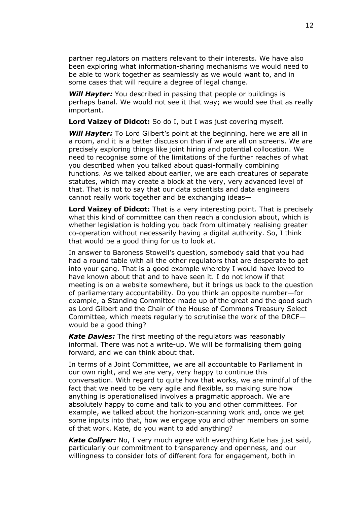partner regulators on matters relevant to their interests. We have also been exploring what information-sharing mechanisms we would need to be able to work together as seamlessly as we would want to, and in some cases that will require a degree of legal change.

**Will Hayter:** You described in passing that people or buildings is perhaps banal. We would not see it that way; we would see that as really important.

**Lord Vaizey of Didcot:** So do I, but I was just covering myself.

**Will Hayter:** To Lord Gilbert's point at the beginning, here we are all in a room, and it is a better discussion than if we are all on screens. We are precisely exploring things like joint hiring and potential collocation. We need to recognise some of the limitations of the further reaches of what you described when you talked about quasi-formally combining functions. As we talked about earlier, we are each creatures of separate statutes, which may create a block at the very, very advanced level of that. That is not to say that our data scientists and data engineers cannot really work together and be exchanging ideas—

**Lord Vaizey of Didcot:** That is a very interesting point. That is precisely what this kind of committee can then reach a conclusion about, which is whether legislation is holding you back from ultimately realising greater co-operation without necessarily having a digital authority. So, I think that would be a good thing for us to look at.

In answer to Baroness Stowell's question, somebody said that you had had a round table with all the other regulators that are desperate to get into your gang. That is a good example whereby I would have loved to have known about that and to have seen it. I do not know if that meeting is on a website somewhere, but it brings us back to the question of parliamentary accountability. Do you think an opposite number—for example, a Standing Committee made up of the great and the good such as Lord Gilbert and the Chair of the House of Commons Treasury Select Committee, which meets regularly to scrutinise the work of the DRCF would be a good thing?

*Kate Davies:* The first meeting of the regulators was reasonably informal. There was not a write-up. We will be formalising them going forward, and we can think about that.

In terms of a Joint Committee, we are all accountable to Parliament in our own right, and we are very, very happy to continue this conversation. With regard to quite how that works, we are mindful of the fact that we need to be very agile and flexible, so making sure how anything is operationalised involves a pragmatic approach. We are absolutely happy to come and talk to you and other committees. For example, we talked about the horizon-scanning work and, once we get some inputs into that, how we engage you and other members on some of that work. Kate, do you want to add anything?

*Kate Collyer:* No, I very much agree with everything Kate has just said, particularly our commitment to transparency and openness, and our willingness to consider lots of different fora for engagement, both in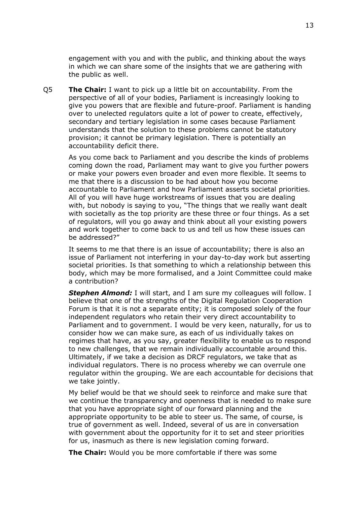engagement with you and with the public, and thinking about the ways in which we can share some of the insights that we are gathering with the public as well.

Q5 **The Chair:** I want to pick up a little bit on accountability. From the perspective of all of your bodies, Parliament is increasingly looking to give you powers that are flexible and future-proof. Parliament is handing over to unelected regulators quite a lot of power to create, effectively, secondary and tertiary legislation in some cases because Parliament understands that the solution to these problems cannot be statutory provision; it cannot be primary legislation. There is potentially an accountability deficit there.

As you come back to Parliament and you describe the kinds of problems coming down the road, Parliament may want to give you further powers or make your powers even broader and even more flexible. It seems to me that there is a discussion to be had about how you become accountable to Parliament and how Parliament asserts societal priorities. All of you will have huge workstreams of issues that you are dealing with, but nobody is saying to you, "The things that we really want dealt with societally as the top priority are these three or four things. As a set of regulators, will you go away and think about all your existing powers and work together to come back to us and tell us how these issues can be addressed?"

It seems to me that there is an issue of accountability; there is also an issue of Parliament not interfering in your day-to-day work but asserting societal priorities. Is that something to which a relationship between this body, which may be more formalised, and a Joint Committee could make a contribution?

**Stephen Almond:** I will start, and I am sure my colleagues will follow. I believe that one of the strengths of the Digital Regulation Cooperation Forum is that it is not a separate entity; it is composed solely of the four independent regulators who retain their very direct accountability to Parliament and to government. I would be very keen, naturally, for us to consider how we can make sure, as each of us individually takes on regimes that have, as you say, greater flexibility to enable us to respond to new challenges, that we remain individually accountable around this. Ultimately, if we take a decision as DRCF regulators, we take that as individual regulators. There is no process whereby we can overrule one regulator within the grouping. We are each accountable for decisions that we take jointly.

My belief would be that we should seek to reinforce and make sure that we continue the transparency and openness that is needed to make sure that you have appropriate sight of our forward planning and the appropriate opportunity to be able to steer us. The same, of course, is true of government as well. Indeed, several of us are in conversation with government about the opportunity for it to set and steer priorities for us, inasmuch as there is new legislation coming forward.

**The Chair:** Would you be more comfortable if there was some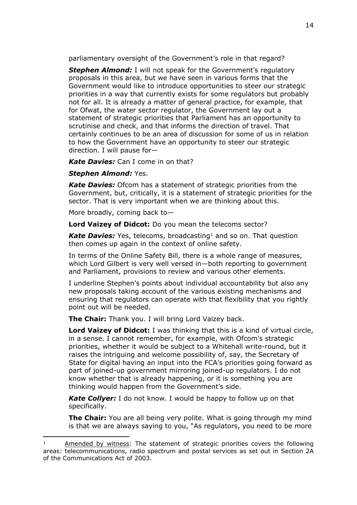parliamentary oversight of the Government's role in that regard?

*Stephen Almond:* I will not speak for the Government's regulatory proposals in this area, but we have seen in various forms that the Government would like to introduce opportunities to steer our strategic priorities in a way that currently exists for some regulators but probably not for all. It is already a matter of general practice, for example, that for Ofwat, the water sector regulator, the Government lay out a statement of strategic priorities that Parliament has an opportunity to scrutinise and check, and that informs the direction of travel. That certainly continues to be an area of discussion for some of us in relation to how the Government have an opportunity to steer our strategic direction. I will pause for—

*Kate Davies:* Can I come in on that?

# *Stephen Almond:* Yes.

*Kate Davies:* Ofcom has a statement of strategic priorities from the Government, but, critically, it is a statement of strategic priorities for the sector. That is very important when we are thinking about this.

More broadly, coming back to—

**Lord Vaizey of Didcot:** Do you mean the telecoms sector?

*Kate Davies:* Yes, telecoms, broadcasting<sup>1</sup> and so on. That question then comes up again in the context of online safety.

In terms of the Online Safety Bill, there is a whole range of measures, which Lord Gilbert is very well versed in—both reporting to government and Parliament, provisions to review and various other elements.

I underline Stephen's points about individual accountability but also any new proposals taking account of the various existing mechanisms and ensuring that regulators can operate with that flexibility that you rightly point out will be needed.

**The Chair:** Thank you. I will bring Lord Vaizey back.

**Lord Vaizey of Didcot:** I was thinking that this is a kind of virtual circle, in a sense. I cannot remember, for example, with Ofcom's strategic priorities, whether it would be subject to a Whitehall write-round, but it raises the intriguing and welcome possibility of, say, the Secretary of State for digital having an input into the FCA's priorities going forward as part of joined-up government mirroring joined-up regulators. I do not know whether that is already happening, or it is something you are thinking would happen from the Government's side.

*Kate Collyer:* I do not know. I would be happy to follow up on that specifically.

**The Chair:** You are all being very polite. What is going through my mind is that we are always saying to you, "As regulators, you need to be more

Amended by witness: The statement of strategic priorities covers the following areas: telecommunications, radio spectrum and postal services as set out in Section 2A of the Communications Act of 2003.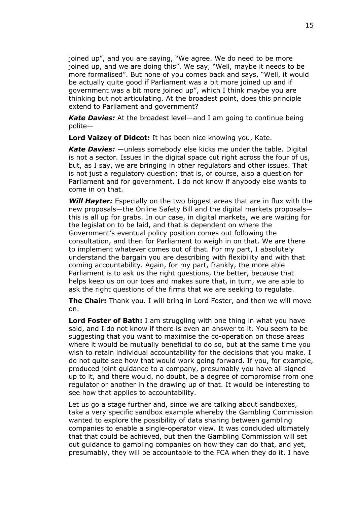joined up", and you are saying, "We agree. We do need to be more joined up, and we are doing this". We say, "Well, maybe it needs to be more formalised". But none of you comes back and says, "Well, it would be actually quite good if Parliament was a bit more joined up and if government was a bit more joined up", which I think maybe you are thinking but not articulating. At the broadest point, does this principle extend to Parliament and government?

*Kate Davies:* At the broadest level—and I am going to continue being polite—

**Lord Vaizey of Didcot:** It has been nice knowing you, Kate.

*Kate Davies:* —unless somebody else kicks me under the table. Digital is not a sector. Issues in the digital space cut right across the four of us, but, as I say, we are bringing in other regulators and other issues. That is not just a regulatory question; that is, of course, also a question for Parliament and for government. I do not know if anybody else wants to come in on that.

*Will Hayter:* Especially on the two biggest areas that are in flux with the new proposals—the Online Safety Bill and the digital markets proposals this is all up for grabs. In our case, in digital markets, we are waiting for the legislation to be laid, and that is dependent on where the Government's eventual policy position comes out following the consultation, and then for Parliament to weigh in on that. We are there to implement whatever comes out of that. For my part, I absolutely understand the bargain you are describing with flexibility and with that coming accountability. Again, for my part, frankly, the more able Parliament is to ask us the right questions, the better, because that helps keep us on our toes and makes sure that, in turn, we are able to ask the right questions of the firms that we are seeking to regulate.

**The Chair:** Thank you. I will bring in Lord Foster, and then we will move on.

**Lord Foster of Bath:** I am struggling with one thing in what you have said, and I do not know if there is even an answer to it. You seem to be suggesting that you want to maximise the co-operation on those areas where it would be mutually beneficial to do so, but at the same time you wish to retain individual accountability for the decisions that you make. I do not quite see how that would work going forward. If you, for example, produced joint guidance to a company, presumably you have all signed up to it, and there would, no doubt, be a degree of compromise from one regulator or another in the drawing up of that. It would be interesting to see how that applies to accountability.

Let us go a stage further and, since we are talking about sandboxes, take a very specific sandbox example whereby the Gambling Commission wanted to explore the possibility of data sharing between gambling companies to enable a single-operator view. It was concluded ultimately that that could be achieved, but then the Gambling Commission will set out guidance to gambling companies on how they can do that, and yet, presumably, they will be accountable to the FCA when they do it. I have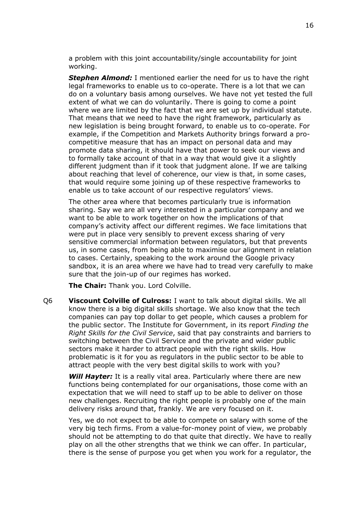a problem with this joint accountability/single accountability for joint working.

*Stephen Almond:* I mentioned earlier the need for us to have the right legal frameworks to enable us to co-operate. There is a lot that we can do on a voluntary basis among ourselves. We have not yet tested the full extent of what we can do voluntarily. There is going to come a point where we are limited by the fact that we are set up by individual statute. That means that we need to have the right framework, particularly as new legislation is being brought forward, to enable us to co-operate. For example, if the Competition and Markets Authority brings forward a procompetitive measure that has an impact on personal data and may promote data sharing, it should have that power to seek our views and to formally take account of that in a way that would give it a slightly different judgment than if it took that judgment alone. If we are talking about reaching that level of coherence, our view is that, in some cases, that would require some joining up of these respective frameworks to enable us to take account of our respective regulators' views.

The other area where that becomes particularly true is information sharing. Say we are all very interested in a particular company and we want to be able to work together on how the implications of that company's activity affect our different regimes. We face limitations that were put in place very sensibly to prevent excess sharing of very sensitive commercial information between regulators, but that prevents us, in some cases, from being able to maximise our alignment in relation to cases. Certainly, speaking to the work around the Google privacy sandbox, it is an area where we have had to tread very carefully to make sure that the join-up of our regimes has worked.

**The Chair:** Thank you. Lord Colville.

Q6 **Viscount Colville of Culross:** I want to talk about digital skills. We all know there is a big digital skills shortage. We also know that the tech companies can pay top dollar to get people, which causes a problem for the public sector. The Institute for Government, in its report *Finding the Right Skills for the Civil Service*, said that pay constraints and barriers to switching between the Civil Service and the private and wider public sectors make it harder to attract people with the right skills. How problematic is it for you as regulators in the public sector to be able to attract people with the very best digital skills to work with you?

*Will Hayter:* It is a really vital area. Particularly where there are new functions being contemplated for our organisations, those come with an expectation that we will need to staff up to be able to deliver on those new challenges. Recruiting the right people is probably one of the main delivery risks around that, frankly. We are very focused on it.

Yes, we do not expect to be able to compete on salary with some of the very big tech firms. From a value-for-money point of view, we probably should not be attempting to do that quite that directly. We have to really play on all the other strengths that we think we can offer. In particular, there is the sense of purpose you get when you work for a regulator, the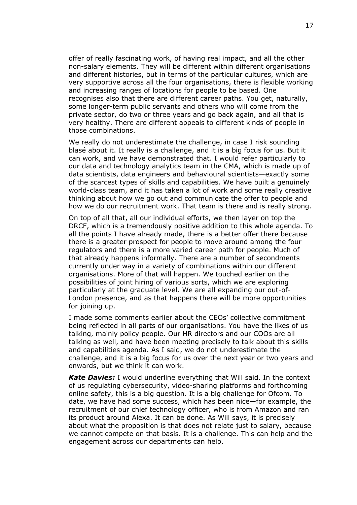offer of really fascinating work, of having real impact, and all the other non-salary elements. They will be different within different organisations and different histories, but in terms of the particular cultures, which are very supportive across all the four organisations, there is flexible working and increasing ranges of locations for people to be based. One recognises also that there are different career paths. You get, naturally, some longer-term public servants and others who will come from the private sector, do two or three years and go back again, and all that is very healthy. There are different appeals to different kinds of people in those combinations.

We really do not underestimate the challenge, in case I risk sounding blasé about it. It really is a challenge, and it is a big focus for us. But it can work, and we have demonstrated that. I would refer particularly to our data and technology analytics team in the CMA, which is made up of data scientists, data engineers and behavioural scientists—exactly some of the scarcest types of skills and capabilities. We have built a genuinely world-class team, and it has taken a lot of work and some really creative thinking about how we go out and communicate the offer to people and how we do our recruitment work. That team is there and is really strong.

On top of all that, all our individual efforts, we then layer on top the DRCF, which is a tremendously positive addition to this whole agenda. To all the points I have already made, there is a better offer there because there is a greater prospect for people to move around among the four regulators and there is a more varied career path for people. Much of that already happens informally. There are a number of secondments currently under way in a variety of combinations within our different organisations. More of that will happen. We touched earlier on the possibilities of joint hiring of various sorts, which we are exploring particularly at the graduate level. We are all expanding our out-of-London presence, and as that happens there will be more opportunities for joining up.

I made some comments earlier about the CEOs' collective commitment being reflected in all parts of our organisations. You have the likes of us talking, mainly policy people. Our HR directors and our COOs are all talking as well, and have been meeting precisely to talk about this skills and capabilities agenda. As I said, we do not underestimate the challenge, and it is a big focus for us over the next year or two years and onwards, but we think it can work.

*Kate Davies:* I would underline everything that Will said. In the context of us regulating cybersecurity, video-sharing platforms and forthcoming online safety, this is a big question. It is a big challenge for Ofcom. To date, we have had some success, which has been nice—for example, the recruitment of our chief technology officer, who is from Amazon and ran its product around Alexa. It can be done. As Will says, it is precisely about what the proposition is that does not relate just to salary, because we cannot compete on that basis. It is a challenge. This can help and the engagement across our departments can help.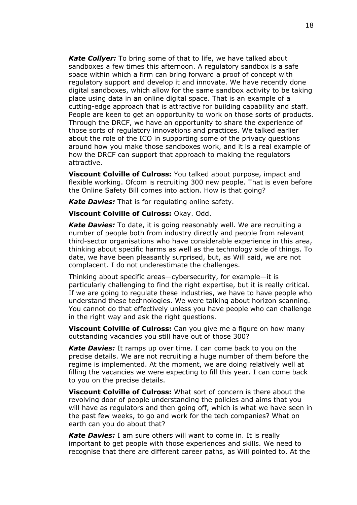*Kate Collyer:* To bring some of that to life, we have talked about sandboxes a few times this afternoon. A regulatory sandbox is a safe space within which a firm can bring forward a proof of concept with regulatory support and develop it and innovate. We have recently done digital sandboxes, which allow for the same sandbox activity to be taking place using data in an online digital space. That is an example of a cutting-edge approach that is attractive for building capability and staff. People are keen to get an opportunity to work on those sorts of products. Through the DRCF, we have an opportunity to share the experience of those sorts of regulatory innovations and practices. We talked earlier about the role of the ICO in supporting some of the privacy questions around how you make those sandboxes work, and it is a real example of how the DRCF can support that approach to making the regulators attractive.

**Viscount Colville of Culross:** You talked about purpose, impact and flexible working. Ofcom is recruiting 300 new people. That is even before the Online Safety Bill comes into action. How is that going?

*Kate Davies:* That is for regulating online safety.

**Viscount Colville of Culross:** Okay. Odd.

*Kate Davies:* To date, it is going reasonably well. We are recruiting a number of people both from industry directly and people from relevant third-sector organisations who have considerable experience in this area, thinking about specific harms as well as the technology side of things. To date, we have been pleasantly surprised, but, as Will said, we are not complacent. I do not underestimate the challenges.

Thinking about specific areas—cybersecurity, for example—it is particularly challenging to find the right expertise, but it is really critical. If we are going to regulate these industries, we have to have people who understand these technologies. We were talking about horizon scanning. You cannot do that effectively unless you have people who can challenge in the right way and ask the right questions.

**Viscount Colville of Culross:** Can you give me a figure on how many outstanding vacancies you still have out of those 300?

*Kate Davies:* It ramps up over time. I can come back to you on the precise details. We are not recruiting a huge number of them before the regime is implemented. At the moment, we are doing relatively well at filling the vacancies we were expecting to fill this year. I can come back to you on the precise details.

**Viscount Colville of Culross:** What sort of concern is there about the revolving door of people understanding the policies and aims that you will have as regulators and then going off, which is what we have seen in the past few weeks, to go and work for the tech companies? What on earth can you do about that?

*Kate Davies:* I am sure others will want to come in. It is really important to get people with those experiences and skills. We need to recognise that there are different career paths, as Will pointed to. At the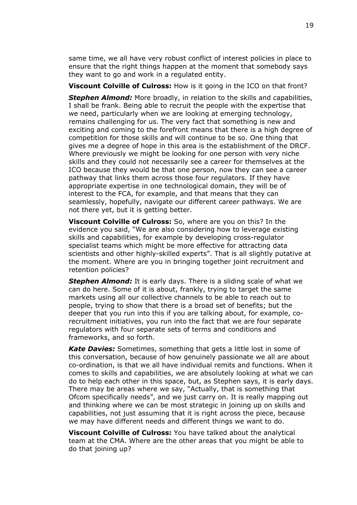same time, we all have very robust conflict of interest policies in place to ensure that the right things happen at the moment that somebody says they want to go and work in a regulated entity.

**Viscount Colville of Culross:** How is it going in the ICO on that front?

*Stephen Almond:* More broadly, in relation to the skills and capabilities, I shall be frank. Being able to recruit the people with the expertise that we need, particularly when we are looking at emerging technology, remains challenging for us. The very fact that something is new and exciting and coming to the forefront means that there is a high degree of competition for those skills and will continue to be so. One thing that gives me a degree of hope in this area is the establishment of the DRCF. Where previously we might be looking for one person with very niche skills and they could not necessarily see a career for themselves at the ICO because they would be that one person, now they can see a career pathway that links them across those four regulators. If they have appropriate expertise in one technological domain, they will be of interest to the FCA, for example, and that means that they can seamlessly, hopefully, navigate our different career pathways. We are not there yet, but it is getting better.

**Viscount Colville of Culross:** So, where are you on this? In the evidence you said, "We are also considering how to leverage existing skills and capabilities, for example by developing cross-regulator specialist teams which might be more effective for attracting data scientists and other highly-skilled experts". That is all slightly putative at the moment. Where are you in bringing together joint recruitment and retention policies?

*Stephen Almond:* It is early days. There is a sliding scale of what we can do here. Some of it is about, frankly, trying to target the same markets using all our collective channels to be able to reach out to people, trying to show that there is a broad set of benefits; but the deeper that you run into this if you are talking about, for example, corecruitment initiatives, you run into the fact that we are four separate regulators with four separate sets of terms and conditions and frameworks, and so forth.

*Kate Davies:* Sometimes, something that gets a little lost in some of this conversation, because of how genuinely passionate we all are about co-ordination, is that we all have individual remits and functions. When it comes to skills and capabilities, we are absolutely looking at what we can do to help each other in this space, but, as Stephen says, it is early days. There may be areas where we say, "Actually, that is something that Ofcom specifically needs", and we just carry on. It is really mapping out and thinking where we can be most strategic in joining up on skills and capabilities, not just assuming that it is right across the piece, because we may have different needs and different things we want to do.

**Viscount Colville of Culross:** You have talked about the analytical team at the CMA. Where are the other areas that you might be able to do that joining up?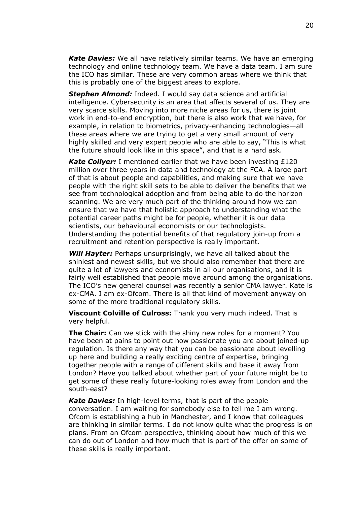*Kate Davies:* We all have relatively similar teams. We have an emerging technology and online technology team. We have a data team. I am sure the ICO has similar. These are very common areas where we think that this is probably one of the biggest areas to explore.

*Stephen Almond:* Indeed. I would say data science and artificial intelligence. Cybersecurity is an area that affects several of us. They are very scarce skills. Moving into more niche areas for us, there is joint work in end-to-end encryption, but there is also work that we have, for example, in relation to biometrics, privacy-enhancing technologies—all these areas where we are trying to get a very small amount of very highly skilled and very expert people who are able to say, "This is what the future should look like in this space", and that is a hard ask.

*Kate Collyer:* I mentioned earlier that we have been investing £120 million over three years in data and technology at the FCA. A large part of that is about people and capabilities, and making sure that we have people with the right skill sets to be able to deliver the benefits that we see from technological adoption and from being able to do the horizon scanning. We are very much part of the thinking around how we can ensure that we have that holistic approach to understanding what the potential career paths might be for people, whether it is our data scientists, our behavioural economists or our technologists. Understanding the potential benefits of that regulatory join-up from a recruitment and retention perspective is really important.

*Will Hayter:* Perhaps unsurprisingly, we have all talked about the shiniest and newest skills, but we should also remember that there are quite a lot of lawyers and economists in all our organisations, and it is fairly well established that people move around among the organisations. The ICO's new general counsel was recently a senior CMA lawyer. Kate is ex-CMA. I am ex-Ofcom. There is all that kind of movement anyway on some of the more traditional regulatory skills.

**Viscount Colville of Culross:** Thank you very much indeed. That is very helpful.

**The Chair:** Can we stick with the shiny new roles for a moment? You have been at pains to point out how passionate you are about joined-up regulation. Is there any way that you can be passionate about levelling up here and building a really exciting centre of expertise, bringing together people with a range of different skills and base it away from London? Have you talked about whether part of your future might be to get some of these really future-looking roles away from London and the south-east?

*Kate Davies:* In high-level terms, that is part of the people conversation. I am waiting for somebody else to tell me I am wrong. Ofcom is establishing a hub in Manchester, and I know that colleagues are thinking in similar terms. I do not know quite what the progress is on plans. From an Ofcom perspective, thinking about how much of this we can do out of London and how much that is part of the offer on some of these skills is really important.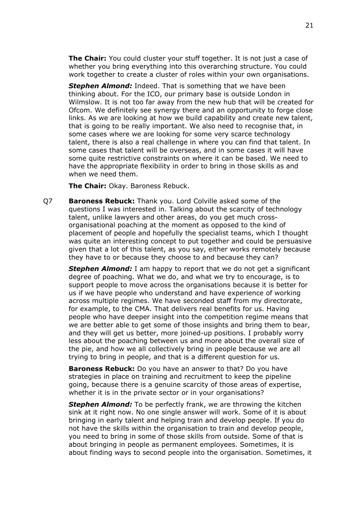**The Chair:** You could cluster your stuff together. It is not just a case of whether you bring everything into this overarching structure. You could work together to create a cluster of roles within your own organisations.

*Stephen Almond:* Indeed. That is something that we have been thinking about. For the ICO, our primary base is outside London in Wilmslow. It is not too far away from the new hub that will be created for Ofcom. We definitely see synergy there and an opportunity to forge close links. As we are looking at how we build capability and create new talent, that is going to be really important. We also need to recognise that, in some cases where we are looking for some very scarce technology talent, there is also a real challenge in where you can find that talent. In some cases that talent will be overseas, and in some cases it will have some quite restrictive constraints on where it can be based. We need to have the appropriate flexibility in order to bring in those skills as and when we need them.

**The Chair:** Okay. Baroness Rebuck.

Q7 **Baroness Rebuck:** Thank you. Lord Colville asked some of the questions I was interested in. Talking about the scarcity of technology talent, unlike lawyers and other areas, do you get much crossorganisational poaching at the moment as opposed to the kind of placement of people and hopefully the specialist teams, which I thought was quite an interesting concept to put together and could be persuasive given that a lot of this talent, as you say, either works remotely because they have to or because they choose to and because they can?

*Stephen Almond:* I am happy to report that we do not get a significant degree of poaching. What we do, and what we try to encourage, is to support people to move across the organisations because it is better for us if we have people who understand and have experience of working across multiple regimes. We have seconded staff from my directorate, for example, to the CMA. That delivers real benefits for us. Having people who have deeper insight into the competition regime means that we are better able to get some of those insights and bring them to bear, and they will get us better, more joined-up positions. I probably worry less about the poaching between us and more about the overall size of the pie, and how we all collectively bring in people because we are all trying to bring in people, and that is a different question for us.

**Baroness Rebuck:** Do you have an answer to that? Do you have strategies in place on training and recruitment to keep the pipeline going, because there is a genuine scarcity of those areas of expertise, whether it is in the private sector or in your organisations?

*Stephen Almond:* To be perfectly frank, we are throwing the kitchen sink at it right now. No one single answer will work. Some of it is about bringing in early talent and helping train and develop people. If you do not have the skills within the organisation to train and develop people, you need to bring in some of those skills from outside. Some of that is about bringing in people as permanent employees. Sometimes, it is about finding ways to second people into the organisation. Sometimes, it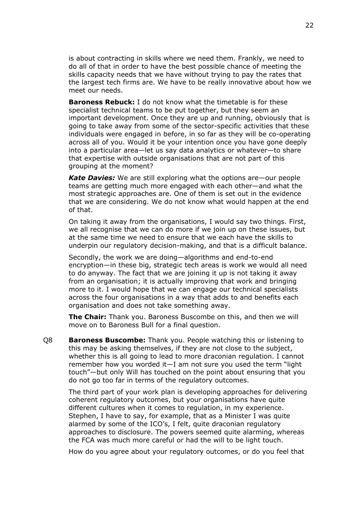is about contracting in skills where we need them. Frankly, we need to do all of that in order to have the best possible chance of meeting the skills capacity needs that we have without trying to pay the rates that the largest tech firms are. We have to be really innovative about how we meet our needs.

**Baroness Rebuck:** I do not know what the timetable is for these specialist technical teams to be put together, but they seem an important development. Once they are up and running, obviously that is going to take away from some of the sector-specific activities that these individuals were engaged in before, in so far as they will be co-operating across all of you. Would it be your intention once you have gone deeply into a particular area—let us say data analytics or whatever—to share that expertise with outside organisations that are not part of this grouping at the moment?

*Kate Davies:* We are still exploring what the options are—our people teams are getting much more engaged with each other—and what the most strategic approaches are. One of them is set out in the evidence that we are considering. We do not know what would happen at the end of that.

On taking it away from the organisations, I would say two things. First, we all recognise that we can do more if we join up on these issues, but at the same time we need to ensure that we each have the skills to underpin our regulatory decision-making, and that is a difficult balance.

Secondly, the work we are doing—algorithms and end-to-end encryption—in these big, strategic tech areas is work we would all need to do anyway. The fact that we are joining it up is not taking it away from an organisation; it is actually improving that work and bringing more to it. I would hope that we can engage our technical specialists across the four organisations in a way that adds to and benefits each organisation and does not take something away.

**The Chair:** Thank you. Baroness Buscombe on this, and then we will move on to Baroness Bull for a final question.

Q8 **Baroness Buscombe:** Thank you. People watching this or listening to this may be asking themselves, if they are not close to the subject, whether this is all going to lead to more draconian regulation. I cannot remember how you worded it—I am not sure you used the term "light touch"—but only Will has touched on the point about ensuring that you do not go too far in terms of the regulatory outcomes.

The third part of your work plan is developing approaches for delivering coherent regulatory outcomes, but your organisations have quite different cultures when it comes to regulation, in my experience. Stephen, I have to say, for example, that as a Minister I was quite alarmed by some of the ICO's, I felt, quite draconian regulatory approaches to disclosure. The powers seemed quite alarming, whereas the FCA was much more careful or had the will to be light touch.

How do you agree about your regulatory outcomes, or do you feel that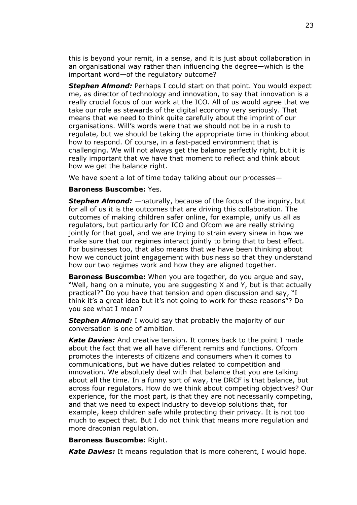this is beyond your remit, in a sense, and it is just about collaboration in an organisational way rather than influencing the degree—which is the important word—of the regulatory outcome?

*Stephen Almond:* Perhaps I could start on that point. You would expect me, as director of technology and innovation, to say that innovation is a really crucial focus of our work at the ICO. All of us would agree that we take our role as stewards of the digital economy very seriously. That means that we need to think quite carefully about the imprint of our organisations. Will's words were that we should not be in a rush to regulate, but we should be taking the appropriate time in thinking about how to respond. Of course, in a fast-paced environment that is challenging. We will not always get the balance perfectly right, but it is really important that we have that moment to reflect and think about how we get the balance right.

We have spent a lot of time today talking about our processes—

#### **Baroness Buscombe:** Yes.

*Stephen Almond:* —naturally, because of the focus of the inquiry, but for all of us it is the outcomes that are driving this collaboration. The outcomes of making children safer online, for example, unify us all as regulators, but particularly for ICO and Ofcom we are really striving jointly for that goal, and we are trying to strain every sinew in how we make sure that our regimes interact jointly to bring that to best effect. For businesses too, that also means that we have been thinking about how we conduct joint engagement with business so that they understand how our two regimes work and how they are aligned together.

**Baroness Buscombe:** When you are together, do you argue and say, "Well, hang on a minute, you are suggesting X and Y, but is that actually practical?" Do you have that tension and open discussion and say, "I think it's a great idea but it's not going to work for these reasons"? Do you see what I mean?

*Stephen Almond:* I would say that probably the majority of our conversation is one of ambition.

*Kate Davies:* And creative tension. It comes back to the point I made about the fact that we all have different remits and functions. Ofcom promotes the interests of citizens and consumers when it comes to communications, but we have duties related to competition and innovation. We absolutely deal with that balance that you are talking about all the time. In a funny sort of way, the DRCF is that balance, but across four regulators. How do we think about competing objectives? Our experience, for the most part, is that they are not necessarily competing, and that we need to expect industry to develop solutions that, for example, keep children safe while protecting their privacy. It is not too much to expect that. But I do not think that means more regulation and more draconian regulation.

#### **Baroness Buscombe:** Right.

*Kate Davies:* It means regulation that is more coherent, I would hope.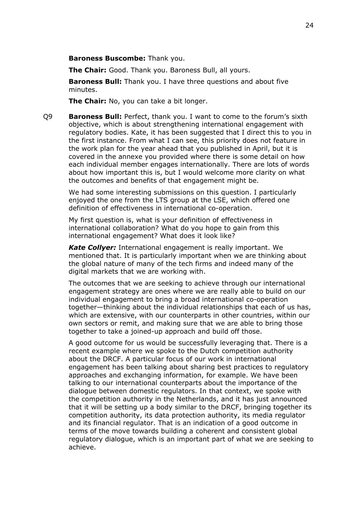**Baroness Buscombe:** Thank you.

**The Chair:** Good. Thank you. Baroness Bull, all yours.

**Baroness Bull:** Thank you. I have three questions and about five minutes.

**The Chair:** No, you can take a bit longer.

Q9 **Baroness Bull:** Perfect, thank you. I want to come to the forum's sixth objective, which is about strengthening international engagement with regulatory bodies. Kate, it has been suggested that I direct this to you in the first instance. From what I can see, this priority does not feature in the work plan for the year ahead that you published in April, but it is covered in the annexe you provided where there is some detail on how each individual member engages internationally. There are lots of words about how important this is, but I would welcome more clarity on what the outcomes and benefits of that engagement might be.

We had some interesting submissions on this question. I particularly enjoyed the one from the LTS group at the LSE, which offered one definition of effectiveness in international co-operation.

My first question is, what is your definition of effectiveness in international collaboration? What do you hope to gain from this international engagement? What does it look like?

*Kate Collyer:* International engagement is really important. We mentioned that. It is particularly important when we are thinking about the global nature of many of the tech firms and indeed many of the digital markets that we are working with.

The outcomes that we are seeking to achieve through our international engagement strategy are ones where we are really able to build on our individual engagement to bring a broad international co-operation together—thinking about the individual relationships that each of us has, which are extensive, with our counterparts in other countries, within our own sectors or remit, and making sure that we are able to bring those together to take a joined-up approach and build off those.

A good outcome for us would be successfully leveraging that. There is a recent example where we spoke to the Dutch competition authority about the DRCF. A particular focus of our work in international engagement has been talking about sharing best practices to regulatory approaches and exchanging information, for example. We have been talking to our international counterparts about the importance of the dialogue between domestic regulators. In that context, we spoke with the competition authority in the Netherlands, and it has just announced that it will be setting up a body similar to the DRCF, bringing together its competition authority, its data protection authority, its media regulator and its financial regulator. That is an indication of a good outcome in terms of the move towards building a coherent and consistent global regulatory dialogue, which is an important part of what we are seeking to achieve.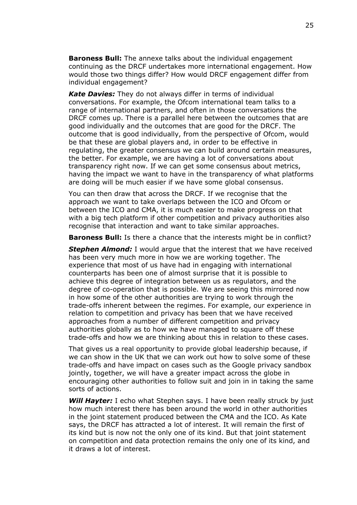**Baroness Bull:** The annexe talks about the individual engagement continuing as the DRCF undertakes more international engagement. How would those two things differ? How would DRCF engagement differ from individual engagement?

*Kate Davies:* They do not always differ in terms of individual conversations. For example, the Ofcom international team talks to a range of international partners, and often in those conversations the DRCF comes up. There is a parallel here between the outcomes that are good individually and the outcomes that are good for the DRCF. The outcome that is good individually, from the perspective of Ofcom, would be that these are global players and, in order to be effective in regulating, the greater consensus we can build around certain measures, the better. For example, we are having a lot of conversations about transparency right now. If we can get some consensus about metrics, having the impact we want to have in the transparency of what platforms are doing will be much easier if we have some global consensus.

You can then draw that across the DRCF. If we recognise that the approach we want to take overlaps between the ICO and Ofcom or between the ICO and CMA, it is much easier to make progress on that with a big tech platform if other competition and privacy authorities also recognise that interaction and want to take similar approaches.

**Baroness Bull:** Is there a chance that the interests might be in conflict?

*Stephen Almond:* I would argue that the interest that we have received has been very much more in how we are working together. The experience that most of us have had in engaging with international counterparts has been one of almost surprise that it is possible to achieve this degree of integration between us as regulators, and the degree of co-operation that is possible. We are seeing this mirrored now in how some of the other authorities are trying to work through the trade-offs inherent between the regimes. For example, our experience in relation to competition and privacy has been that we have received approaches from a number of different competition and privacy authorities globally as to how we have managed to square off these trade-offs and how we are thinking about this in relation to these cases.

That gives us a real opportunity to provide global leadership because, if we can show in the UK that we can work out how to solve some of these trade-offs and have impact on cases such as the Google privacy sandbox jointly, together, we will have a greater impact across the globe in encouraging other authorities to follow suit and join in in taking the same sorts of actions.

*Will Hayter:* I echo what Stephen says. I have been really struck by just how much interest there has been around the world in other authorities in the joint statement produced between the CMA and the ICO. As Kate says, the DRCF has attracted a lot of interest. It will remain the first of its kind but is now not the only one of its kind. But that joint statement on competition and data protection remains the only one of its kind, and it draws a lot of interest.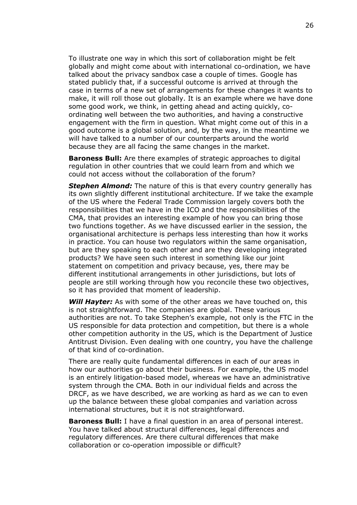To illustrate one way in which this sort of collaboration might be felt globally and might come about with international co-ordination, we have talked about the privacy sandbox case a couple of times. Google has stated publicly that, if a successful outcome is arrived at through the case in terms of a new set of arrangements for these changes it wants to make, it will roll those out globally. It is an example where we have done some good work, we think, in getting ahead and acting quickly, coordinating well between the two authorities, and having a constructive engagement with the firm in question. What might come out of this in a good outcome is a global solution, and, by the way, in the meantime we will have talked to a number of our counterparts around the world because they are all facing the same changes in the market.

**Baroness Bull:** Are there examples of strategic approaches to digital regulation in other countries that we could learn from and which we could not access without the collaboration of the forum?

*Stephen Almond:* The nature of this is that every country generally has its own slightly different institutional architecture. If we take the example of the US where the Federal Trade Commission largely covers both the responsibilities that we have in the ICO and the responsibilities of the CMA, that provides an interesting example of how you can bring those two functions together. As we have discussed earlier in the session, the organisational architecture is perhaps less interesting than how it works in practice. You can house two regulators within the same organisation, but are they speaking to each other and are they developing integrated products? We have seen such interest in something like our joint statement on competition and privacy because, yes, there may be different institutional arrangements in other jurisdictions, but lots of people are still working through how you reconcile these two objectives, so it has provided that moment of leadership.

*Will Hayter:* As with some of the other areas we have touched on, this is not straightforward. The companies are global. These various authorities are not. To take Stephen's example, not only is the FTC in the US responsible for data protection and competition, but there is a whole other competition authority in the US, which is the Department of Justice Antitrust Division. Even dealing with one country, you have the challenge of that kind of co-ordination.

There are really quite fundamental differences in each of our areas in how our authorities go about their business. For example, the US model is an entirely litigation-based model, whereas we have an administrative system through the CMA. Both in our individual fields and across the DRCF, as we have described, we are working as hard as we can to even up the balance between these global companies and variation across international structures, but it is not straightforward.

**Baroness Bull:** I have a final question in an area of personal interest. You have talked about structural differences, legal differences and regulatory differences. Are there cultural differences that make collaboration or co-operation impossible or difficult?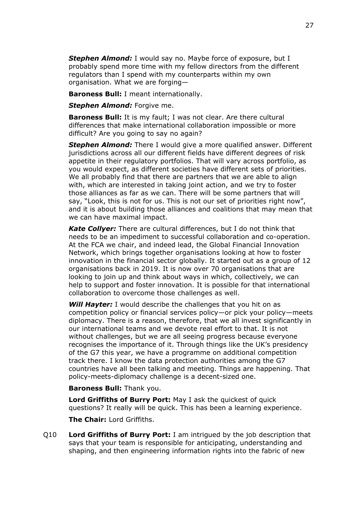*Stephen Almond:* I would say no. Maybe force of exposure, but I probably spend more time with my fellow directors from the different regulators than I spend with my counterparts within my own organisation. What we are forging—

**Baroness Bull:** I meant internationally.

*Stephen Almond:* Forgive me.

**Baroness Bull:** It is my fault; I was not clear. Are there cultural differences that make international collaboration impossible or more difficult? Are you going to say no again?

*Stephen Almond:* There I would give a more qualified answer. Different jurisdictions across all our different fields have different degrees of risk appetite in their regulatory portfolios. That will vary across portfolio, as you would expect, as different societies have different sets of priorities. We all probably find that there are partners that we are able to align with, which are interested in taking joint action, and we try to foster those alliances as far as we can. There will be some partners that will say, "Look, this is not for us. This is not our set of priorities right now", and it is about building those alliances and coalitions that may mean that we can have maximal impact.

*Kate Collyer:* There are cultural differences, but I do not think that needs to be an impediment to successful collaboration and co-operation. At the FCA we chair, and indeed lead, the Global Financial Innovation Network, which brings together organisations looking at how to foster innovation in the financial sector globally. It started out as a group of 12 organisations back in 2019. It is now over 70 organisations that are looking to join up and think about ways in which, collectively, we can help to support and foster innovation. It is possible for that international collaboration to overcome those challenges as well.

**Will Hayter:** I would describe the challenges that you hit on as competition policy or financial services policy—or pick your policy—meets diplomacy. There is a reason, therefore, that we all invest significantly in our international teams and we devote real effort to that. It is not without challenges, but we are all seeing progress because everyone recognises the importance of it. Through things like the UK's presidency of the G7 this year, we have a programme on additional competition track there. I know the data protection authorities among the G7 countries have all been talking and meeting. Things are happening. That policy-meets-diplomacy challenge is a decent-sized one.

**Baroness Bull:** Thank you.

**Lord Griffiths of Burry Port:** May I ask the quickest of quick questions? It really will be quick. This has been a learning experience.

**The Chair:** Lord Griffiths.

Q10 **Lord Griffiths of Burry Port:** I am intrigued by the job description that says that your team is responsible for anticipating, understanding and shaping, and then engineering information rights into the fabric of new